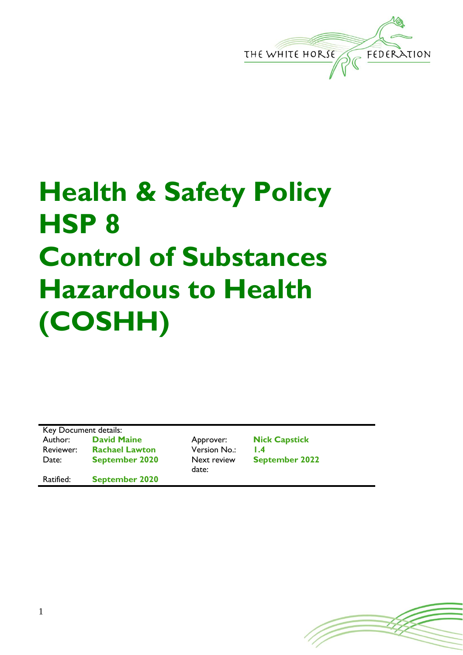

# **Health & Safety Policy HSP 8 Control of Substances Hazardous to Health (COSHH)**

Key Document details: Author: **David Maine** Approver: **Nick Capstick** Reviewer: **Rachael Lawton** Version No.: **1.4** Date: **September 2020** Next review

Ratified: **September 2020**

date:

**September 2022**

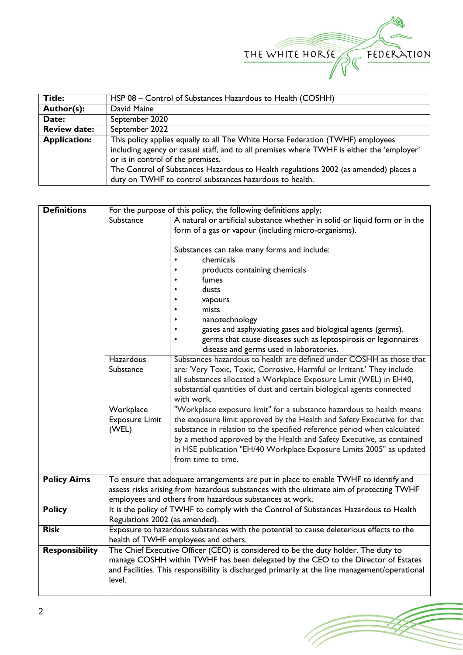

| <b>Title:</b>                                                                                         | HSP 08 - Control of Substances Hazardous to Health (COSHH)                                |  |  |  |
|-------------------------------------------------------------------------------------------------------|-------------------------------------------------------------------------------------------|--|--|--|
| Author(s):                                                                                            | David Maine                                                                               |  |  |  |
| Date:                                                                                                 | September 2020                                                                            |  |  |  |
| <b>Review date:</b>                                                                                   | September 2022                                                                            |  |  |  |
| This policy applies equally to all The White Horse Federation (TWHF) employees<br><b>Application:</b> |                                                                                           |  |  |  |
|                                                                                                       | including agency or casual staff, and to all premises where TWHF is either the 'employer' |  |  |  |
|                                                                                                       | or is in control of the premises.                                                         |  |  |  |
|                                                                                                       | The Control of Substances Hazardous to Health regulations 2002 (as amended) places a      |  |  |  |
|                                                                                                       | duty on TWHF to control substances hazardous to health.                                   |  |  |  |

| <b>Definitions</b>    | For the purpose of this policy, the following definitions apply;                      |                                                                                                            |  |  |  |  |
|-----------------------|---------------------------------------------------------------------------------------|------------------------------------------------------------------------------------------------------------|--|--|--|--|
|                       | Substance                                                                             | A natural or artificial substance whether in solid or liquid form or in the                                |  |  |  |  |
|                       |                                                                                       | form of a gas or vapour (including micro-organisms).                                                       |  |  |  |  |
|                       |                                                                                       |                                                                                                            |  |  |  |  |
|                       |                                                                                       | Substances can take many forms and include:                                                                |  |  |  |  |
|                       |                                                                                       | chemicals                                                                                                  |  |  |  |  |
|                       |                                                                                       | products containing chemicals                                                                              |  |  |  |  |
|                       |                                                                                       | fumes                                                                                                      |  |  |  |  |
|                       |                                                                                       | dusts                                                                                                      |  |  |  |  |
|                       |                                                                                       | vapours                                                                                                    |  |  |  |  |
|                       |                                                                                       | mists                                                                                                      |  |  |  |  |
|                       |                                                                                       | nanotechnology<br>gases and asphyxiating gases and biological agents (germs).                              |  |  |  |  |
|                       |                                                                                       |                                                                                                            |  |  |  |  |
|                       |                                                                                       | germs that cause diseases such as leptospirosis or legionnaires<br>disease and germs used in laboratories. |  |  |  |  |
|                       | <b>Hazardous</b>                                                                      | Substances hazardous to health are defined under COSHH as those that                                       |  |  |  |  |
|                       | Substance                                                                             | are: 'Very Toxic, Toxic, Corrosive, Harmful or Irritant.' They include                                     |  |  |  |  |
|                       |                                                                                       | all substances allocated a Workplace Exposure Limit (WEL) in EH40,                                         |  |  |  |  |
|                       |                                                                                       | substantial quantities of dust and certain biological agents connected                                     |  |  |  |  |
|                       |                                                                                       | with work.                                                                                                 |  |  |  |  |
|                       | Workplace                                                                             | "Workplace exposure limit" for a substance hazardous to health means                                       |  |  |  |  |
|                       | <b>Exposure Limit</b>                                                                 | the exposure limit approved by the Health and Safety Executive for that                                    |  |  |  |  |
|                       | (WEL)                                                                                 | substance in relation to the specified reference period when calculated                                    |  |  |  |  |
|                       |                                                                                       | by a method approved by the Health and Safety Executive, as contained                                      |  |  |  |  |
|                       |                                                                                       | in HSE publication "EH/40 Workplace Exposure Limits 2005" as updated                                       |  |  |  |  |
|                       |                                                                                       | from time to time.                                                                                         |  |  |  |  |
|                       |                                                                                       |                                                                                                            |  |  |  |  |
| <b>Policy Aims</b>    |                                                                                       | To ensure that adequate arrangements are put in place to enable TWHF to identify and                       |  |  |  |  |
|                       |                                                                                       | assess risks arising from hazardous substances with the ultimate aim of protecting TWHF                    |  |  |  |  |
|                       | employees and others from hazardous substances at work.                               |                                                                                                            |  |  |  |  |
| <b>Policy</b>         | It is the policy of TWHF to comply with the Control of Substances Hazardous to Health |                                                                                                            |  |  |  |  |
|                       | Regulations 2002 (as amended).                                                        |                                                                                                            |  |  |  |  |
| <b>Risk</b>           |                                                                                       | Exposure to hazardous substances with the potential to cause deleterious effects to the                    |  |  |  |  |
|                       |                                                                                       | health of TWHF employees and others.                                                                       |  |  |  |  |
| <b>Responsibility</b> |                                                                                       | The Chief Executive Officer (CEO) is considered to be the duty holder. The duty to                         |  |  |  |  |
|                       | manage COSHH within TWHF has been delegated by the CEO to the Director of Estates     |                                                                                                            |  |  |  |  |
|                       |                                                                                       | and Facilities. This responsibility is discharged primarily at the line management/operational             |  |  |  |  |
|                       | level.                                                                                |                                                                                                            |  |  |  |  |
|                       |                                                                                       |                                                                                                            |  |  |  |  |

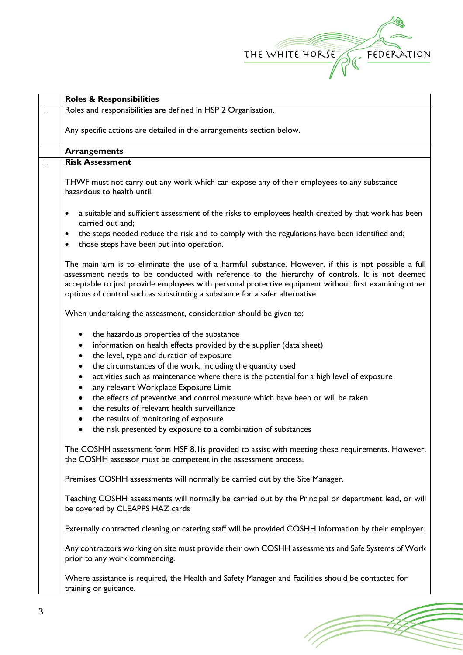

(Toponial)

|              | <b>Roles &amp; Responsibilities</b>                                                                                                                                                                                                                                                                                                                                                             |  |  |  |  |
|--------------|-------------------------------------------------------------------------------------------------------------------------------------------------------------------------------------------------------------------------------------------------------------------------------------------------------------------------------------------------------------------------------------------------|--|--|--|--|
|              | Roles and responsibilities are defined in HSP 2 Organisation.                                                                                                                                                                                                                                                                                                                                   |  |  |  |  |
|              | Any specific actions are detailed in the arrangements section below.                                                                                                                                                                                                                                                                                                                            |  |  |  |  |
|              | <b>Arrangements</b>                                                                                                                                                                                                                                                                                                                                                                             |  |  |  |  |
| $\mathbf{L}$ | <b>Risk Assessment</b>                                                                                                                                                                                                                                                                                                                                                                          |  |  |  |  |
|              | THWF must not carry out any work which can expose any of their employees to any substance<br>hazardous to health until:                                                                                                                                                                                                                                                                         |  |  |  |  |
|              | a suitable and sufficient assessment of the risks to employees health created by that work has been<br>$\bullet$<br>carried out and:                                                                                                                                                                                                                                                            |  |  |  |  |
|              | the steps needed reduce the risk and to comply with the regulations have been identified and;<br>those steps have been put into operation.<br>٠                                                                                                                                                                                                                                                 |  |  |  |  |
|              | The main aim is to eliminate the use of a harmful substance. However, if this is not possible a full<br>assessment needs to be conducted with reference to the hierarchy of controls. It is not deemed<br>acceptable to just provide employees with personal protective equipment without first examining other<br>options of control such as substituting a substance for a safer alternative. |  |  |  |  |
|              | When undertaking the assessment, consideration should be given to:                                                                                                                                                                                                                                                                                                                              |  |  |  |  |
|              | the hazardous properties of the substance<br>information on health effects provided by the supplier (data sheet)<br>$\bullet$<br>the level, type and duration of exposure<br>٠<br>the circumstances of the work, including the quantity used<br>$\bullet$<br>activities such as maintenance where there is the potential for a high level of exposure<br>$\bullet$                              |  |  |  |  |
|              | any relevant Workplace Exposure Limit<br>the effects of preventive and control measure which have been or will be taken<br>the results of relevant health surveillance<br>the results of monitoring of exposure                                                                                                                                                                                 |  |  |  |  |
|              | the risk presented by exposure to a combination of substances                                                                                                                                                                                                                                                                                                                                   |  |  |  |  |
|              | The COSHH assessment form HSF 8.1 is provided to assist with meeting these requirements. However,<br>the COSHH assessor must be competent in the assessment process.                                                                                                                                                                                                                            |  |  |  |  |
|              | Premises COSHH assessments will normally be carried out by the Site Manager.                                                                                                                                                                                                                                                                                                                    |  |  |  |  |
|              | Teaching COSHH assessments will normally be carried out by the Principal or department lead, or will<br>be covered by CLEAPPS HAZ cards                                                                                                                                                                                                                                                         |  |  |  |  |
|              | Externally contracted cleaning or catering staff will be provided COSHH information by their employer.                                                                                                                                                                                                                                                                                          |  |  |  |  |
|              | Any contractors working on site must provide their own COSHH assessments and Safe Systems of Work<br>prior to any work commencing.                                                                                                                                                                                                                                                              |  |  |  |  |
|              | Where assistance is required, the Health and Safety Manager and Facilities should be contacted for<br>training or guidance.                                                                                                                                                                                                                                                                     |  |  |  |  |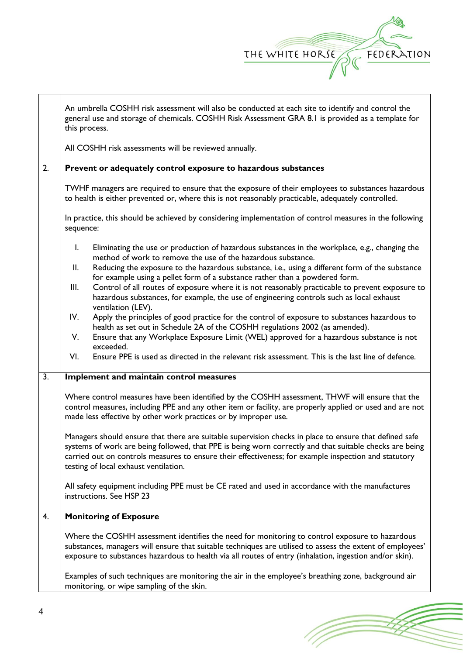

|                  | An umbrella COSHH risk assessment will also be conducted at each site to identify and control the<br>general use and storage of chemicals. COSHH Risk Assessment GRA 8.1 is provided as a template for<br>this process.                                                                                                                                            |  |  |  |  |
|------------------|--------------------------------------------------------------------------------------------------------------------------------------------------------------------------------------------------------------------------------------------------------------------------------------------------------------------------------------------------------------------|--|--|--|--|
|                  | All COSHH risk assessments will be reviewed annually.                                                                                                                                                                                                                                                                                                              |  |  |  |  |
| 2.               | Prevent or adequately control exposure to hazardous substances                                                                                                                                                                                                                                                                                                     |  |  |  |  |
|                  | TWHF managers are required to ensure that the exposure of their employees to substances hazardous<br>to health is either prevented or, where this is not reasonably practicable, adequately controlled.                                                                                                                                                            |  |  |  |  |
|                  | In practice, this should be achieved by considering implementation of control measures in the following<br>sequence:                                                                                                                                                                                                                                               |  |  |  |  |
|                  | I.<br>Eliminating the use or production of hazardous substances in the workplace, e.g., changing the<br>method of work to remove the use of the hazardous substance.<br>Reducing the exposure to the hazardous substance, i.e., using a different form of the substance<br>II.                                                                                     |  |  |  |  |
|                  | for example using a pellet form of a substance rather than a powdered form.<br>Control of all routes of exposure where it is not reasonably practicable to prevent exposure to<br>Ш.<br>hazardous substances, for example, the use of engineering controls such as local exhaust<br>ventilation (LEV).                                                             |  |  |  |  |
|                  | IV.<br>Apply the principles of good practice for the control of exposure to substances hazardous to<br>health as set out in Schedule 2A of the COSHH regulations 2002 (as amended).<br>Ensure that any Workplace Exposure Limit (WEL) approved for a hazardous substance is not<br>V.                                                                              |  |  |  |  |
|                  | exceeded.<br>Ensure PPE is used as directed in the relevant risk assessment. This is the last line of defence.<br>VI.                                                                                                                                                                                                                                              |  |  |  |  |
| $\overline{3}$ . | Implement and maintain control measures                                                                                                                                                                                                                                                                                                                            |  |  |  |  |
|                  | Where control measures have been identified by the COSHH assessment, THWF will ensure that the<br>control measures, including PPE and any other item or facility, are properly applied or used and are not<br>made less effective by other work practices or by improper use.                                                                                      |  |  |  |  |
|                  | Managers should ensure that there are suitable supervision checks in place to ensure that defined safe<br>systems of work are being followed, that PPE is being worn correctly and that suitable checks are being<br>carried out on controls measures to ensure their effectiveness; for example inspection and statutory<br>testing of local exhaust ventilation. |  |  |  |  |
|                  | All safety equipment including PPE must be CE rated and used in accordance with the manufactures<br>instructions. See HSP 23                                                                                                                                                                                                                                       |  |  |  |  |
| 4.               | <b>Monitoring of Exposure</b>                                                                                                                                                                                                                                                                                                                                      |  |  |  |  |
|                  | Where the COSHH assessment identifies the need for monitoring to control exposure to hazardous<br>substances, managers will ensure that suitable techniques are utilised to assess the extent of employees'<br>exposure to substances hazardous to health via all routes of entry (inhalation, ingestion and/or skin).                                             |  |  |  |  |
|                  | Examples of such techniques are monitoring the air in the employee's breathing zone, background air<br>monitoring, or wipe sampling of the skin.                                                                                                                                                                                                                   |  |  |  |  |

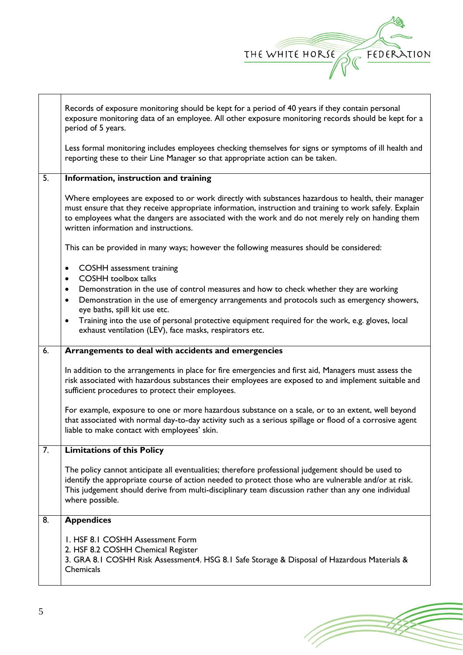

Records of exposure monitoring should be kept for a period of 40 years if they contain personal exposure monitoring data of an employee. All other exposure monitoring records should be kept for a period of 5 years.

Less formal monitoring includes employees checking themselves for signs or symptoms of ill health and reporting these to their Line Manager so that appropriate action can be taken.

#### 5. **Information, instruction and training**

Where employees are exposed to or work directly with substances hazardous to health, their manager must ensure that they receive appropriate information, instruction and training to work safely. Explain to employees what the dangers are associated with the work and do not merely rely on handing them written information and instructions.

This can be provided in many ways; however the following measures should be considered:

- COSHH assessment training
- COSHH toolbox talks
- Demonstration in the use of control measures and how to check whether they are working
- Demonstration in the use of emergency arrangements and protocols such as emergency showers, eye baths, spill kit use etc.
- Training into the use of personal protective equipment required for the work, e.g. gloves, local exhaust ventilation (LEV), face masks, respirators etc.

#### 6. **Arrangements to deal with accidents and emergencies**

In addition to the arrangements in place for fire emergencies and first aid, Managers must assess the risk associated with hazardous substances their employees are exposed to and implement suitable and sufficient procedures to protect their employees.

For example, exposure to one or more hazardous substance on a scale, or to an extent, well beyond that associated with normal day-to-day activity such as a serious spillage or flood of a corrosive agent liable to make contact with employees' skin.

### 7. **Limitations of this Policy**

The policy cannot anticipate all eventualities; therefore professional judgement should be used to identify the appropriate course of action needed to protect those who are vulnerable and/or at risk. This judgement should derive from multi-disciplinary team discussion rather than any one individual where possible.

## 8. **Appendices** 1. HSF 8.1 COSHH Assessment Form 2. HSF 8.2 COSHH Chemical Register 3. GRA 8.1 COSHH Risk Assessment4. HSG 8.1 Safe Storage & Disposal of Hazardous Materials & **Chemicals**